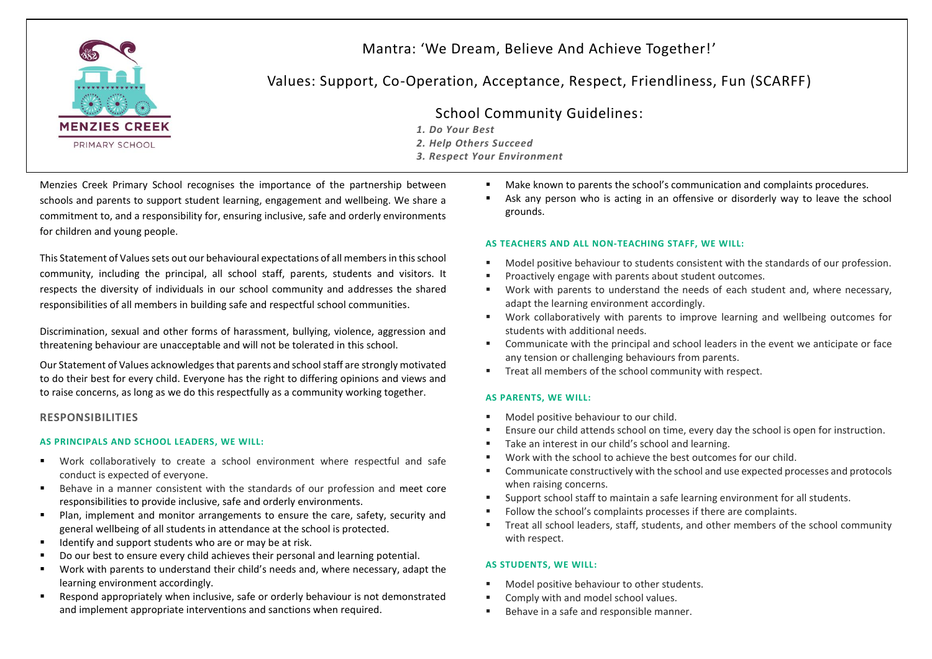

# Mantra: 'We Dream, Believe And Achieve Together!'

# Values: Support, Co-Operation, Acceptance, Respect, Friendliness, Fun (SCARFF)

# School Community Guidelines:

- *1. Do Your Best*
- *2. Help Others Succeed*
- *3. Respect Your Environment*

Menzies Creek Primary School recognises the importance of the partnership between schools and parents to support student learning, engagement and wellbeing. We share a commitment to, and a responsibility for, ensuring inclusive, safe and orderly environments for children and young people.

This Statement of Values sets out our behavioural expectations of all members in this school community, including the principal, all school staff, parents, students and visitors. It respects the diversity of individuals in our school community and addresses the shared responsibilities of all members in building safe and respectful school communities.

Discrimination, sexual and other forms of harassment, bullying, violence, aggression and threatening behaviour are unacceptable and will not be tolerated in this school.

Our Statement of Values acknowledges that parents and school staff are strongly motivated to do their best for every child. Everyone has the right to differing opinions and views and to raise concerns, as long as we do this respectfully as a community working together.

## **RESPONSIBILITIES**

## **AS PRINCIPALS AND SCHOOL LEADERS, WE WILL:**

- Work collaboratively to create a school environment where respectful and safe conduct is expected of everyone.
- Behave in a manner consistent with the standards of our profession and meet core responsibilities to provide inclusive, safe and orderly environments.
- Plan, implement and monitor arrangements to ensure the care, safety, security and general wellbeing of all students in attendance at the school is protected.
- $\blacksquare$  Identify and support students who are or may be at risk.
- Do our best to ensure every child achieves their personal and learning potential.
- Work with parents to understand their child's needs and, where necessary, adapt the learning environment accordingly.
- Respond appropriately when inclusive, safe or orderly behaviour is not demonstrated and implement appropriate interventions and sanctions when required.
- Make known to parents the school's communication and complaints procedures.
- Ask any person who is acting in an offensive or disorderly way to leave the school grounds.

#### **AS TEACHERS AND ALL NON-TEACHING STAFF, WE WILL:**

- Model positive behaviour to students consistent with the standards of our profession.
- Proactively engage with parents about student outcomes.
- Work with parents to understand the needs of each student and, where necessary, adapt the learning environment accordingly.
- Work collaboratively with parents to improve learning and wellbeing outcomes for students with additional needs.
- Communicate with the principal and school leaders in the event we anticipate or face any tension or challenging behaviours from parents.
- Treat all members of the school community with respect.

#### **AS PARENTS, WE WILL:**

- Model positive behaviour to our child.
- Ensure our child attends school on time, every day the school is open for instruction.
- Take an interest in our child's school and learning.
- Work with the school to achieve the best outcomes for our child.
- Communicate constructively with the school and use expected processes and protocols when raising concerns.
- Support school staff to maintain a safe learning environment for all students.
- Follow the school's complaints processes if there are complaints.
- Treat all school leaders, staff, students, and other members of the school community with respect.

#### **AS STUDENTS, WE WILL:**

- Model positive behaviour to other students.
- Comply with and model school values.
- Behave in a safe and responsible manner.